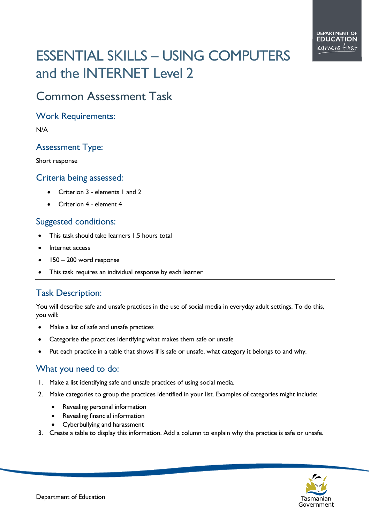# ESSENTIAL SKILLS – USING COMPUTERS and the INTERNET Level 2

## Common Assessment Task

#### Work Requirements:

N/A

#### Assessment Type:

Short response

#### Criteria being assessed:

- Criterion 3 elements 1 and 2
- Criterion 4 element 4

#### Suggested conditions:

- This task should take learners 1.5 hours total
- Internet access
- 150 200 word response
- This task requires an individual response by each learner

### Task Description:

You will describe safe and unsafe practices in the use of social media in everyday adult settings. To do this, you will:

- Make a list of safe and unsafe practices
- Categorise the practices identifying what makes them safe or unsafe
- Put each practice in a table that shows if is safe or unsafe, what category it belongs to and why.

#### What you need to do:

- 1. Make a list identifying safe and unsafe practices of using social media.
- 2. Make categories to group the practices identified in your list. Examples of categories might include:
	- Revealing personal information
	- Revealing financial information
	- Cyberbullying and harassment
- 3. Create a table to display this information. Add a column to explain why the practice is safe or unsafe.